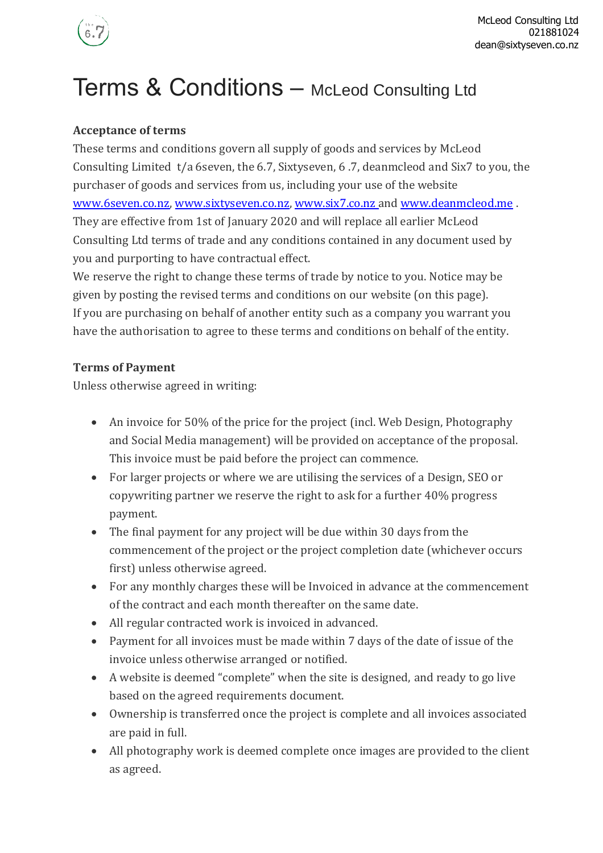

# Terms & Conditions – McLeod Consulting Ltd

## **Acceptance of terms**

These terms and conditions govern all supply of goods and services by McLeod Consulting Limited t/a 6seven, the 6.7, Sixtyseven, 6 .7, deanmcleod and Six7 to you, the purchaser of goods and services from us, including your use of the website [www.6seven.co.nz,](http://www.6seven.co.nz/) [www.sixtyseven.co.nz,](http://www.sixtyseven.co.nz/) [www.six7.co.nz](http://www.six7.co.nz/) and [www.deanmcleod.me](http://www.deanmcleod.me/) . They are effective from 1st of January 2020 and will replace all earlier McLeod Consulting Ltd terms of trade and any conditions contained in any document used by you and purporting to have contractual effect.

We reserve the right to change these terms of trade by notice to you. Notice may be given by posting the revised terms and conditions on our website (on this page). If you are purchasing on behalf of another entity such as a company you warrant you have the authorisation to agree to these terms and conditions on behalf of the entity.

## **Terms of Payment**

Unless otherwise agreed in writing:

- An invoice for 50% of the price for the project (incl. Web Design, Photography and Social Media management) will be provided on acceptance of the proposal. This invoice must be paid before the project can commence.
- For larger projects or where we are utilising the services of a Design, SEO or copywriting partner we reserve the right to ask for a further 40% progress payment.
- The final payment for any project will be due within 30 days from the commencement of the project or the project completion date (whichever occurs first) unless otherwise agreed.
- For any monthly charges these will be Invoiced in advance at the commencement of the contract and each month thereafter on the same date.
- All regular contracted work is invoiced in advanced.
- Payment for all invoices must be made within 7 days of the date of issue of the invoice unless otherwise arranged or notified.
- A website is deemed "complete" when the site is designed, and ready to go live based on the agreed requirements document.
- Ownership is transferred once the project is complete and all invoices associated are paid in full.
- All photography work is deemed complete once images are provided to the client as agreed.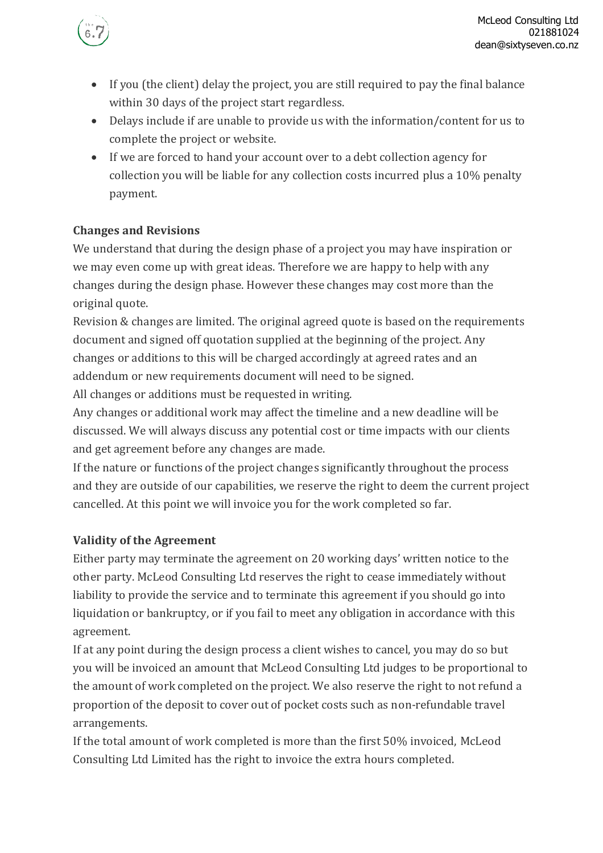

- If you (the client) delay the project, you are still required to pay the final balance within 30 days of the project start regardless.
- Delays include if are unable to provide us with the information/content for us to complete the project or website.
- If we are forced to hand your account over to a debt collection agency for collection you will be liable for any collection costs incurred plus a 10% penalty payment.

## **Changes and Revisions**

We understand that during the design phase of a project you may have inspiration or we may even come up with great ideas. Therefore we are happy to help with any changes during the design phase. However these changes may cost more than the original quote.

Revision & changes are limited. The original agreed quote is based on the requirements document and signed off quotation supplied at the beginning of the project. Any changes or additions to this will be charged accordingly at agreed rates and an addendum or new requirements document will need to be signed.

All changes or additions must be requested in writing.

Any changes or additional work may affect the timeline and a new deadline will be discussed. We will always discuss any potential cost or time impacts with our clients and get agreement before any changes are made.

If the nature or functions of the project changes significantly throughout the process and they are outside of our capabilities, we reserve the right to deem the current project cancelled. At this point we will invoice you for the work completed so far.

# **Validity of the Agreement**

Either party may terminate the agreement on 20 working days' written notice to the other party. McLeod Consulting Ltd reserves the right to cease immediately without liability to provide the service and to terminate this agreement if you should go into liquidation or bankruptcy, or if you fail to meet any obligation in accordance with this agreement.

If at any point during the design process a client wishes to cancel, you may do so but you will be invoiced an amount that McLeod Consulting Ltd judges to be proportional to the amount of work completed on the project. We also reserve the right to not refund a proportion of the deposit to cover out of pocket costs such as non-refundable travel arrangements.

If the total amount of work completed is more than the first 50% invoiced, McLeod Consulting Ltd Limited has the right to invoice the extra hours completed.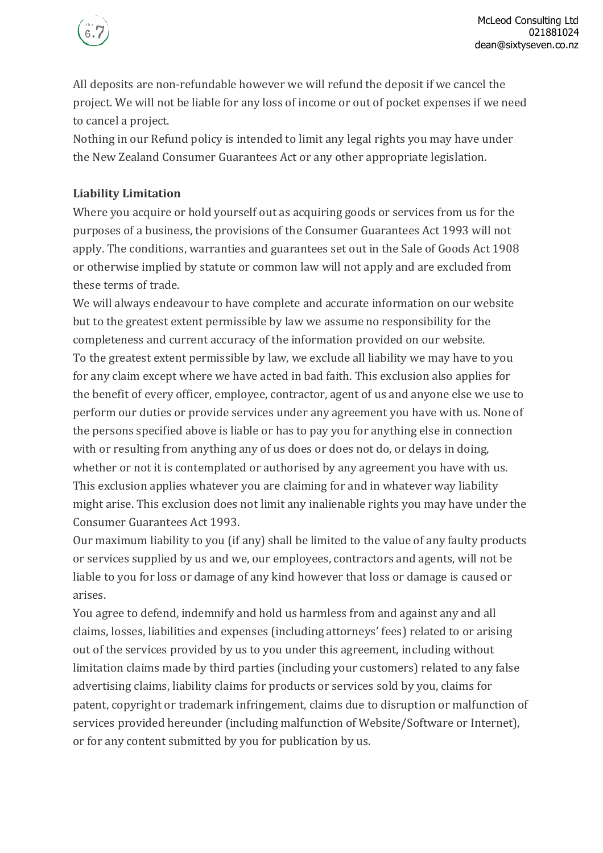

All deposits are non-refundable however we will refund the deposit if we cancel the project. We will not be liable for any loss of income or out of pocket expenses if we need to cancel a project.

Nothing in our Refund policy is intended to limit any legal rights you may have under the New Zealand Consumer Guarantees Act or any other appropriate legislation.

## **Liability Limitation**

Where you acquire or hold yourself out as acquiring goods or services from us for the purposes of a business, the provisions of the Consumer Guarantees Act 1993 will not apply. The conditions, warranties and guarantees set out in the Sale of Goods Act 1908 or otherwise implied by statute or common law will not apply and are excluded from these terms of trade.

We will always endeavour to have complete and accurate information on our website but to the greatest extent permissible by law we assume no responsibility for the completeness and current accuracy of the information provided on our website. To the greatest extent permissible by law, we exclude all liability we may have to you for any claim except where we have acted in bad faith. This exclusion also applies for the benefit of every officer, employee, contractor, agent of us and anyone else we use to perform our duties or provide services under any agreement you have with us. None of the persons specified above is liable or has to pay you for anything else in connection with or resulting from anything any of us does or does not do, or delays in doing, whether or not it is contemplated or authorised by any agreement you have with us. This exclusion applies whatever you are claiming for and in whatever way liability might arise. This exclusion does not limit any inalienable rights you may have under the Consumer Guarantees Act 1993.

Our maximum liability to you (if any) shall be limited to the value of any faulty products or services supplied by us and we, our employees, contractors and agents, will not be liable to you for loss or damage of any kind however that loss or damage is caused or arises.

You agree to defend, indemnify and hold us harmless from and against any and all claims, losses, liabilities and expenses (including attorneys' fees) related to or arising out of the services provided by us to you under this agreement, including without limitation claims made by third parties (including your customers) related to any false advertising claims, liability claims for products or services sold by you, claims for patent, copyright or trademark infringement, claims due to disruption or malfunction of services provided hereunder (including malfunction of Website/Software or Internet), or for any content submitted by you for publication by us.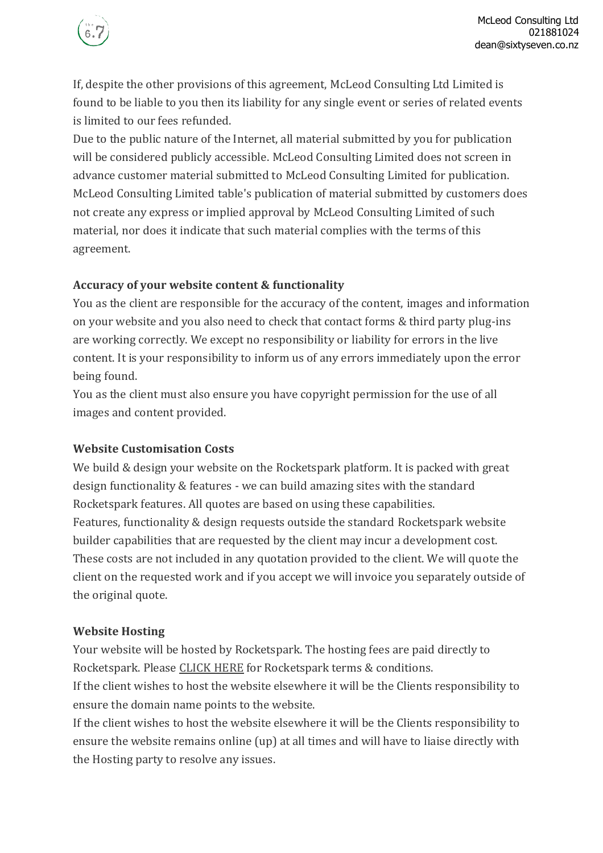

If, despite the other provisions of this agreement, McLeod Consulting Ltd Limited is found to be liable to you then its liability for any single event or series of related events is limited to our fees refunded.

Due to the public nature of the Internet, all material submitted by you for publication will be considered publicly accessible. McLeod Consulting Limited does not screen in advance customer material submitted to McLeod Consulting Limited for publication. McLeod Consulting Limited table's publication of material submitted by customers does not create any express or implied approval by McLeod Consulting Limited of such material, nor does it indicate that such material complies with the terms of this agreement.

#### **Accuracy of your website content & functionality**

You as the client are responsible for the accuracy of the content, images and information on your website and you also need to check that contact forms & third party plug-ins are working correctly. We except no responsibility or liability for errors in the live content. It is your responsibility to inform us of any errors immediately upon the error being found.

You as the client must also ensure you have copyright permission for the use of all images and content provided.

#### **Website Customisation Costs**

We build & design your website on the Rocketspark platform. It is packed with great design functionality & features - we can build amazing sites with the standard Rocketspark features. All quotes are based on using these capabilities. Features, functionality & design requests outside the standard Rocketspark website builder capabilities that are requested by the client may incur a development cost. These costs are not included in any quotation provided to the client. We will quote the client on the requested work and if you accept we will invoice you separately outside of the original quote.

#### **Website Hosting**

Your website will be hosted by Rocketspark. The hosting fees are paid directly to Rocketspark. Please [CLICK](https://www.rocketspark.com/nz/terms-and-conditions/) HERE for Rocketspark terms & conditions.

If the client wishes to host the website elsewhere it will be the Clients responsibility to ensure the domain name points to the website.

If the client wishes to host the website elsewhere it will be the Clients responsibility to ensure the website remains online (up) at all times and will have to liaise directly with the Hosting party to resolve any issues.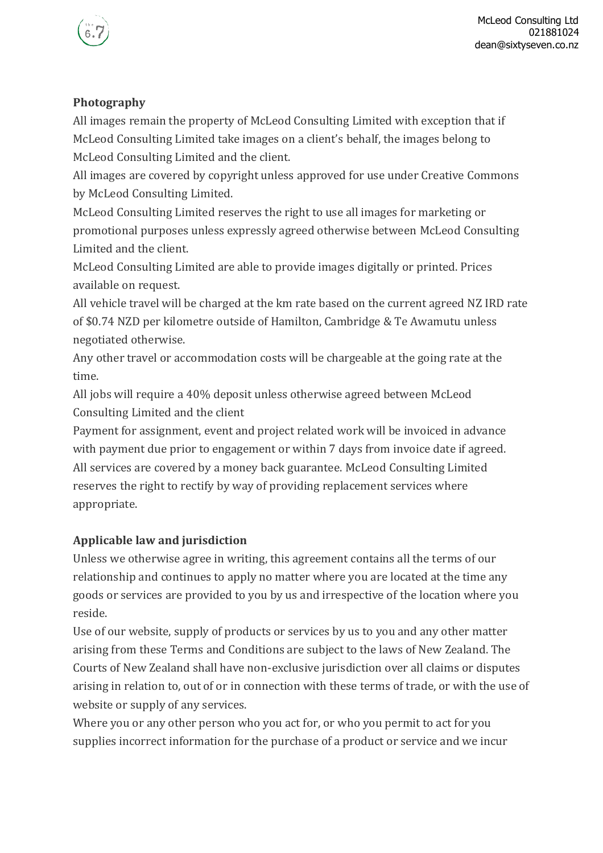

## **Photography**

All images remain the property of McLeod Consulting Limited with exception that if McLeod Consulting Limited take images on a client's behalf, the images belong to McLeod Consulting Limited and the client.

All images are covered by copyright unless approved for use under Creative Commons by McLeod Consulting Limited.

McLeod Consulting Limited reserves the right to use all images for marketing or promotional purposes unless expressly agreed otherwise between McLeod Consulting Limited and the client.

McLeod Consulting Limited are able to provide images digitally or printed. Prices available on request.

All vehicle travel will be charged at the km rate based on the current agreed NZ IRD rate of \$0.74 NZD per kilometre outside of Hamilton, Cambridge & Te Awamutu unless negotiated otherwise.

Any other travel or accommodation costs will be chargeable at the going rate at the time.

All jobs will require a 40% deposit unless otherwise agreed between McLeod Consulting Limited and the client

Payment for assignment, event and project related work will be invoiced in advance with payment due prior to engagement or within 7 days from invoice date if agreed. All services are covered by a money back guarantee. McLeod Consulting Limited reserves the right to rectify by way of providing replacement services where appropriate.

## **Applicable law and jurisdiction**

Unless we otherwise agree in writing, this agreement contains all the terms of our relationship and continues to apply no matter where you are located at the time any goods or services are provided to you by us and irrespective of the location where you reside.

Use of our website, supply of products or services by us to you and any other matter arising from these Terms and Conditions are subject to the laws of New Zealand. The Courts of New Zealand shall have non-exclusive jurisdiction over all claims or disputes arising in relation to, out of or in connection with these terms of trade, or with the use of website or supply of any services.

Where you or any other person who you act for, or who you permit to act for you supplies incorrect information for the purchase of a product or service and we incur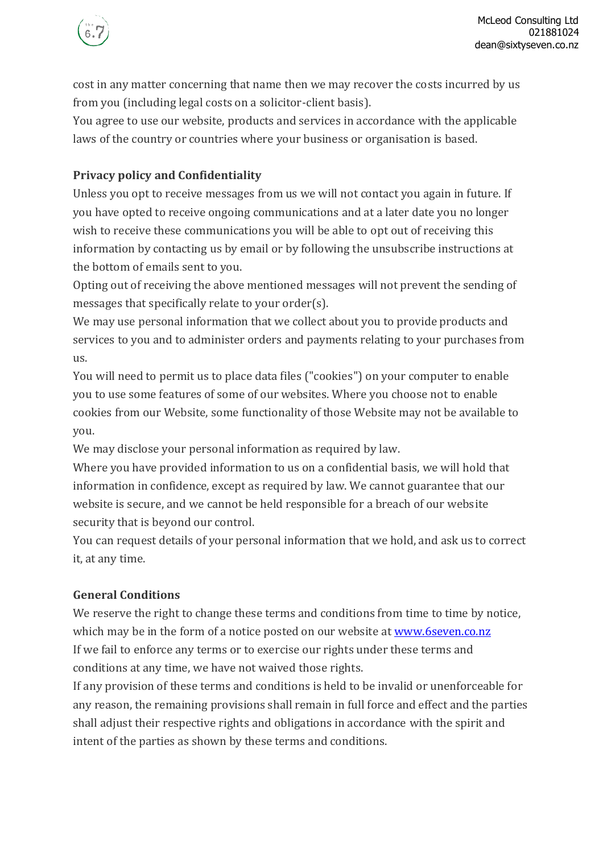

cost in any matter concerning that name then we may recover the costs incurred by us from you (including legal costs on a solicitor-client basis).

You agree to use our website, products and services in accordance with the applicable laws of the country or countries where your business or organisation is based.

## **Privacy policy and Confidentiality**

Unless you opt to receive messages from us we will not contact you again in future. If you have opted to receive ongoing communications and at a later date you no longer wish to receive these communications you will be able to opt out of receiving this information by contacting us by email or by following the unsubscribe instructions at the bottom of emails sent to you.

Opting out of receiving the above mentioned messages will not prevent the sending of messages that specifically relate to your order(s).

We may use personal information that we collect about you to provide products and services to you and to administer orders and payments relating to your purchases from us.

You will need to permit us to place data files ("cookies") on your computer to enable you to use some features of some of our websites. Where you choose not to enable cookies from our Website, some functionality of those Website may not be available to you.

We may disclose your personal information as required by law.

Where you have provided information to us on a confidential basis, we will hold that information in confidence, except as required by law. We cannot guarantee that our website is secure, and we cannot be held responsible for a breach of our website security that is beyond our control.

You can request details of your personal information that we hold, and ask us to correct it, at any time.

# **General Conditions**

We reserve the right to change these terms and conditions from time to time by notice, which may be in the form of a notice posted on our website at [www.6seven.co.nz](http://www.6seven.co.nz/) If we fail to enforce any terms or to exercise our rights under these terms and conditions at any time, we have not waived those rights.

If any provision of these terms and conditions is held to be invalid or unenforceable for any reason, the remaining provisions shall remain in full force and effect and the parties shall adjust their respective rights and obligations in accordance with the spirit and intent of the parties as shown by these terms and conditions.